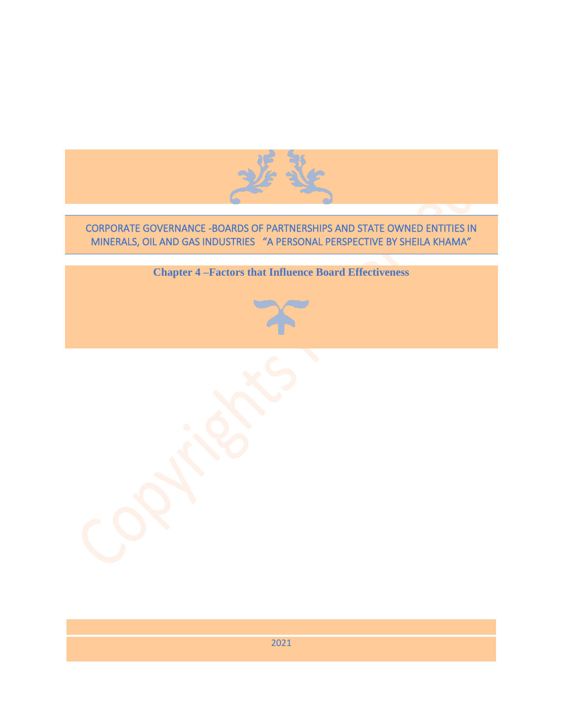

## CORPORATE GOVERNANCE -BOARDS OF PARTNERSHIPS AND STATE OWNED ENTITIES IN MINERALS, OIL AND GAS INDUSTRIES "A PERSONAL PERSPECTIVE BY SHEILA KHAMA"



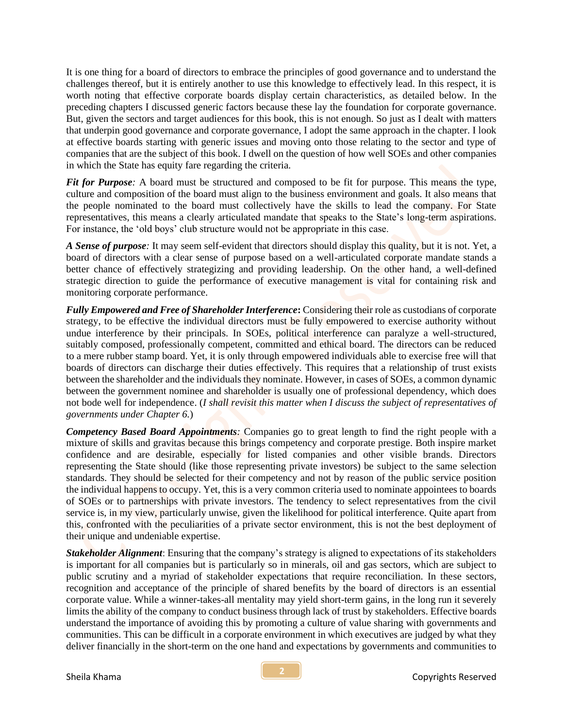It is one thing for a board of directors to embrace the principles of good governance and to understand the challenges thereof, but it is entirely another to use this knowledge to effectively lead. In this respect, it is worth noting that effective corporate boards display certain characteristics, as detailed below. In the preceding chapters I discussed generic factors because these lay the foundation for corporate governance. But, given the sectors and target audiences for this book, this is not enough. So just as I dealt with matters that underpin good governance and corporate governance, I adopt the same approach in the chapter. I look at effective boards starting with generic issues and moving onto those relating to the sector and type of companies that are the subject of this book. I dwell on the question of how well SOEs and other companies in which the State has equity fare regarding the criteria.

*Fit for Purpose*: A board must be structured and composed to be fit for purpose. This means the type, culture and composition of the board must align to the business environment and goals. It also means that the people nominated to the board must collectively have the skills to lead the company. For State representatives, this means a clearly articulated mandate that speaks to the State's long-term aspirations. For instance, the 'old boys' club structure would not be appropriate in this case.

*A Sense of purpose:* It may seem self-evident that directors should display this quality, but it is not. Yet, a board of directors with a clear sense of purpose based on a well-articulated corporate mandate stands a better chance of effectively strategizing and providing leadership. On the other hand, a well-defined strategic direction to guide the performance of executive management is vital for containing risk and monitoring corporate performance.

*Fully Empowered and Free of Shareholder Interference***:** Considering their role as custodians of corporate strategy, to be effective the individual directors must be fully empowered to exercise authority without undue interference by their principals. In SOEs, political interference can paralyze a well-structured, suitably composed, professionally competent, committed and ethical board. The directors can be reduced to a mere rubber stamp board. Yet, it is only through empowered individuals able to exercise free will that boards of directors can discharge their duties effectively. This requires that a relationship of trust exists between the shareholder and the individuals they nominate. However, in cases of SOEs, a common dynamic between the government nominee and shareholder is usually one of professional dependency, which does not bode well for independence. (*I shall revisit this matter when I discuss the subject of representatives of governments under Chapter 6.*)

*Competency Based Board Appointments:* Companies go to great length to find the right people with a mixture of skills and gravitas because this brings competency and corporate prestige. Both inspire market confidence and are desirable, especially for listed companies and other visible brands. Directors representing the State should (like those representing private investors) be subject to the same selection standards. They should be selected for their competency and not by reason of the public service position the individual happens to occupy. Yet, this is a very common criteria used to nominate appointees to boards of SOEs or to partnerships with private investors. The tendency to select representatives from the civil service is, in my view, particularly unwise, given the likelihood for political interference. Quite apart from this, confronted with the peculiarities of a private sector environment, this is not the best deployment of their unique and undeniable expertise.

*Stakeholder Alignment*: Ensuring that the company's strategy is aligned to expectations of its stakeholders is important for all companies but is particularly so in minerals, oil and gas sectors, which are subject to public scrutiny and a myriad of stakeholder expectations that require reconciliation. In these sectors, recognition and acceptance of the principle of shared benefits by the board of directors is an essential corporate value. While a winner-takes-all mentality may yield short-term gains, in the long run it severely limits the ability of the company to conduct business through lack of trust by stakeholders. Effective boards understand the importance of avoiding this by promoting a culture of value sharing with governments and communities. This can be difficult in a corporate environment in which executives are judged by what they deliver financially in the short-term on the one hand and expectations by governments and communities to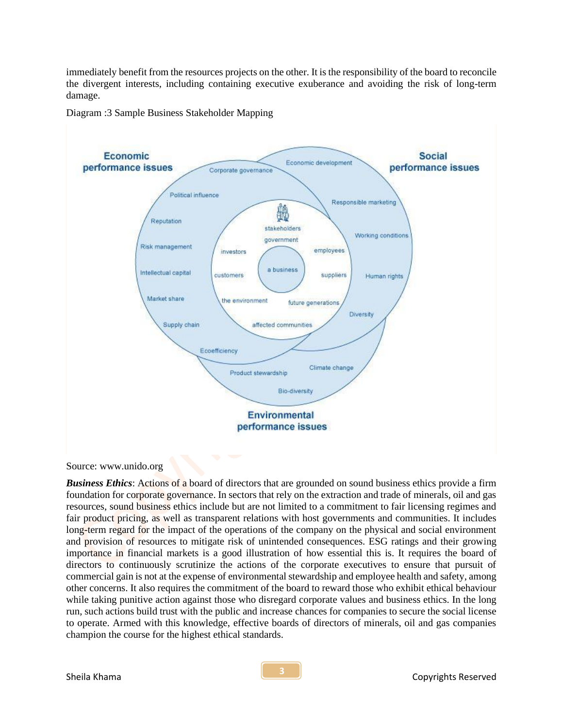immediately benefit from the resources projects on the other. It is the responsibility of the board to reconcile the divergent interests, including containing executive exuberance and avoiding the risk of long-term damage.

Diagram :3 Sample Business Stakeholder Mapping



## Source: www.unido.org

*Business Ethics*: Actions of a board of directors that are grounded on sound business ethics provide a firm foundation for corporate governance. In sectors that rely on the extraction and trade of minerals, oil and gas resources, sound business ethics include but are not limited to a commitment to fair licensing regimes and fair product pricing, as well as transparent relations with host governments and communities. It includes long-term regard for the impact of the operations of the company on the physical and social environment and provision of resources to mitigate risk of unintended consequences. ESG ratings and their growing importance in financial markets is a good illustration of how essential this is. It requires the board of directors to continuously scrutinize the actions of the corporate executives to ensure that pursuit of commercial gain is not at the expense of environmental stewardship and employee health and safety, among other concerns. It also requires the commitment of the board to reward those who exhibit ethical behaviour while taking punitive action against those who disregard corporate values and business ethics. In the long run, such actions build trust with the public and increase chances for companies to secure the social license to operate. Armed with this knowledge, effective boards of directors of minerals, oil and gas companies champion the course for the highest ethical standards.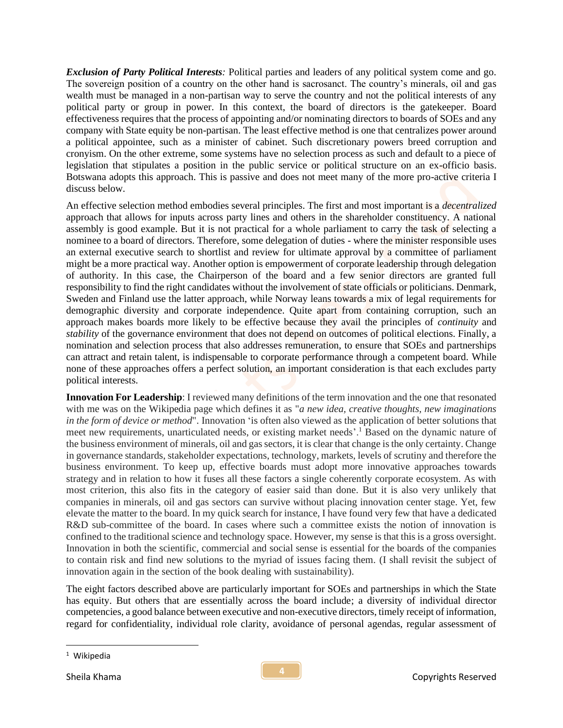*Exclusion of Party Political Interests:* Political parties and leaders of any political system come and go. The sovereign position of a country on the other hand is sacrosanct. The country's minerals, oil and gas wealth must be managed in a non-partisan way to serve the country and not the political interests of any political party or group in power. In this context, the board of directors is the gatekeeper. Board effectiveness requires that the process of appointing and/or nominating directors to boards of SOEs and any company with State equity be non-partisan. The least effective method is one that centralizes power around a political appointee, such as a minister of cabinet. Such discretionary powers breed corruption and cronyism. On the other extreme, some systems have no selection process as such and default to a piece of legislation that stipulates a position in the public service or political structure on an ex-officio basis. Botswana adopts this approach. This is passive and does not meet many of the more pro-active criteria I discuss below.

An effective selection method embodies several principles. The first and most important is a *decentralized* approach that allows for inputs across party lines and others in the shareholder constituency. A national assembly is good example. But it is not practical for a whole parliament to carry the task of selecting a nominee to a board of directors. Therefore, some delegation of duties - where the minister responsible uses an external executive search to shortlist and review for ultimate approval by a committee of parliament might be a more practical way. Another option is empowerment of corporate leadership through delegation of authority. In this case, the Chairperson of the board and a few senior directors are granted full responsibility to find the right candidates without the involvement of state officials or politicians. Denmark, Sweden and Finland use the latter approach, while Norway leans towards a mix of legal requirements for demographic diversity and corporate independence. Quite apart from containing corruption, such an approach makes boards more likely to be effective because they avail the principles of *continuity* and *stability* of the governance environment that does not depend on outcomes of political elections. Finally, a nomination and selection process that also addresses remuneration, to ensure that SOEs and partnerships can attract and retain talent, is indispensable to corporate performance through a competent board. While none of these approaches offers a perfect solution, an important consideration is that each excludes party political interests.

**Innovation For Leadership:** I reviewed many definitions of the term innovation and the one that resonated with me was on the Wikipedia page which defines it as "*a new idea, creative thoughts, new imaginations in the form of device or method*". Innovation 'is often also viewed as the application of better solutions that meet new requirements, unarticulated needs, or existing market needs'.<sup>1</sup> Based on the dynamic nature of the business environment of minerals, oil and gas sectors, it is clear that change is the only certainty. Change in governance standards, stakeholder expectations, technology, markets, levels of scrutiny and therefore the business environment. To keep up, effective boards must adopt more innovative approaches towards strategy and in relation to how it fuses all these factors a single coherently corporate ecosystem. As with most criterion, this also fits in the category of easier said than done. But it is also very unlikely that companies in minerals, oil and gas sectors can survive without placing innovation center stage. Yet, few elevate the matter to the board. In my quick search for instance, I have found very few that have a dedicated R&D sub-committee of the board. In cases where such a committee exists the notion of innovation is confined to the traditional science and technology space. However, my sense is that this is a gross oversight. Innovation in both the scientific, commercial and social sense is essential for the boards of the companies to contain risk and find new solutions to the myriad of issues facing them. (I shall revisit the subject of innovation again in the section of the book dealing with sustainability).

The eight factors described above are particularly important for SOEs and partnerships in which the State has equity. But others that are essentially across the board include; a diversity of individual director competencies, a good balance between executive and non-executive directors, timely receipt of information, regard for confidentiality, individual role clarity, avoidance of personal agendas, regular assessment of

<sup>1</sup> Wikipedia